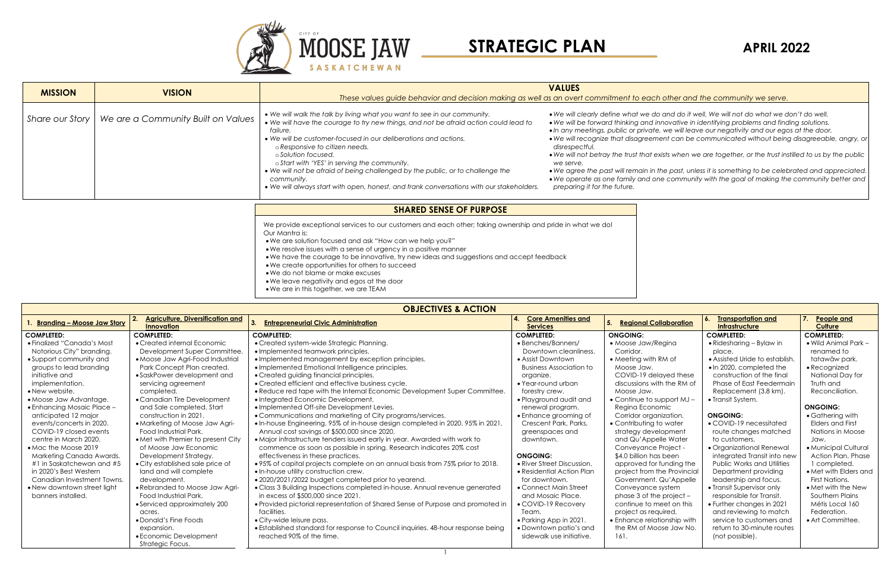

**OBJECTIVES & ACTION**

| <b>UDJECTIVES &amp; ACTION</b> |                                                              |                                                                                  |                                              |                                     |                                             |                              |
|--------------------------------|--------------------------------------------------------------|----------------------------------------------------------------------------------|----------------------------------------------|-------------------------------------|---------------------------------------------|------------------------------|
| . Branding - Moose Jaw Story   | <b>Agriculture, Diversification and</b><br><b>Innovation</b> | <b>Entrepreneurial Civic Administration</b>                                      | <b>Core Amenities and</b><br><b>Services</b> | <b>Regional Collaboration</b><br>5. | <b>Transportation and</b><br>Infrastructure | People and<br><b>Culture</b> |
| <b>COMPLETED:</b>              | <b>COMPLETED:</b>                                            | <b>COMPLETED:</b>                                                                | <b>COMPLETED:</b>                            | <b>ONGOING:</b>                     | <b>COMPLETED:</b>                           | <b>COMPLETED:</b>            |
| • Finalized "Canada's Most     | • Created internal Economic                                  | • Created system-wide Strategic Planning.                                        | • Benches/Banners/                           | • Moose Jaw/Regina                  | $\bullet$ Ridesharing – Bylaw in            | $\bullet$ Wild Animal Park - |
| Notorious City" branding.      | Development Super Committee.                                 | • Implemented teamwork principles.                                               | Downtown cleanliness.                        | Corridor.                           | place.                                      | renamed to                   |
| • Support community and        | • Moose Jaw Agri-Food Industrial                             | . Implemented management by exception principles.                                | • Assist Downtown                            | • Meeting with RM of                | • Assisted Uride to establish.              | tatawâw park.                |
| groups to lead branding        | Park Concept Plan created.                                   | · Implemented Emotional Intelligence principles.                                 | <b>Business Association to</b>               | Moose Jaw.                          | . In 2020, completed the                    | • Recognized                 |
| initiative and                 | • SaskPower development and                                  | • Created guiding financial principles.                                          | organize.                                    | COVID-19 delayed these              | construction of the final                   | National Day for             |
| implementation.                | servicing agreement                                          | • Created efficient and effective business cycle.                                | • Year-round urban                           | discussions with the RM of          | Phase of East Feedermain                    | Truth and                    |
| • New website.                 | completed.                                                   | . Reduce red tape with the Internal Economic Development Super Committee.        | forestry crew.                               | Moose Jaw.                          | Replacement (3.8 km).                       | Reconciliation.              |
| • Moose Jaw Advantage.         | • Canadian Tire Development                                  | • Integrated Economic Development.                                               | • Playground audit and                       | • Continue to support $MJ -$        | • Transit System.                           |                              |
| • Enhancing Mosaic Place -     | and Sale completed. Start                                    | • Implemented Off-site Development Levies.                                       | renewal program.                             | Regina Economic                     |                                             | <b>ONGOING:</b>              |
| anticipated 12 major           | construction in 2021.                                        | • Communications and marketing of City programs/services.                        | • Enhance grooming of                        | Corridor organization.              | <b>ONGOING:</b>                             | • Gathering with             |
| events/concerts in 2020.       | • Marketing of Moose Jaw Agri-                               | . In-house Engineering. 95% of in-house design completed in 2020. 95% in 2021.   | Crescent Park, Parks,                        | • Contributing to water             | • COVID-19 necessitated                     | <b>Elders and First</b>      |
| COVID-19 closed events         | <b>Food Industrial Park.</b>                                 | Annual cost savings of \$500,000 since 2020.                                     | greenspaces and                              | strategy development                | route changes matched                       | Nations in Moose             |
| centre in March 2020.          | • Met with Premier to present City                           | • Major infrastructure tenders issued early in year. Awarded with work to        | downtown.                                    | and Qu'Appelle Water                | to customers.                               | Jaw.                         |
| • Mac the Moose 2019           | of Moose Jaw Economic                                        | commence as soon as possible in spring. Research indicates 20% cost              |                                              | Conveyance Project -                | · Organizational Renewal                    | · Municipal Cultural         |
| Marketing Canada Awards.       | Development Strategy.                                        | effectiveness in these practices.                                                | <b>ONGOING:</b>                              | \$4.0 billion has been              | integrated Transit into new                 | Action Plan. Phase           |
| #1 in Saskatchewan and #5      | • City established sale price of                             | •95% of capital projects complete on an annual basis from 75% prior to 2018.     | • River Street Discussion.                   | approved for funding the            | <b>Public Works and Utilities</b>           | 1 completed.                 |
| in 2020's Best Western         | land and will complete                                       | . In-house utility construction crew.                                            | • Residential Action Plan                    | project from the Provincial         | Department providing                        | • Met with Elders and        |
| Canadian Investment Towns.     | development.                                                 | . 2020/2021/2022 budget completed prior to yearend.                              | for downtown.                                | Government. Qu'Appelle              | leadership and focus.                       | First Nations.               |
| • New downtown street light    | • Rebranded to Moose Jaw Agri-                               | • Class 3 Building Inspections completed in-house. Annual revenue generated      | • Connect Main Street                        | Conveyance system                   | • Transit Supervisor only                   | • Met with the New           |
| banners installed.             | Food Industrial Park.                                        | in excess of \$500,000 since 2021.                                               | and Mosaic Place.                            | phase 3 of the project -            | responsible for Transit.                    | Southern Plains              |
|                                | • Serviced approximately 200                                 | • Provided pictorial representation of Shared Sense of Purpose and promoted in   | • COVID-19 Recovery                          | continue to meet on this            | • Further changes in 2021                   | Métis Local 160              |
|                                | acres.                                                       | facilities.                                                                      | Team.                                        | project as required.                | and reviewing to match                      | Federation.                  |
|                                | • Donald's Fine Foods                                        | • City-wide leisure pass.                                                        | • Parking App in 2021.                       | • Enhance relationship with         | service to customers and                    | • Art Committee.             |
|                                | expansion.                                                   | • Established standard for response to Council inquiries. 48-hour response being | • Downtown patio's and                       | the RM of Moose Jaw No.             | return to 30-minute routes                  |                              |
|                                | • Economic Development                                       | reached 90% of the time.                                                         | sidewalk use initiative.                     | 161.                                | (not possible).                             |                              |
|                                | Strategic Focus.                                             |                                                                                  |                                              |                                     |                                             |                              |

the past, unless it is something to be celebrated and appreciated. • *We operate as one family and one community with the goal of making the community better and* 

1



## *These values guide behavior and decision making as well as an overt commitment to each other and the community we serve.*

|                                | <b>MISSION</b>  | <b>VISION</b>                      | These values guide behavior and decision making as well as an overt commitment to eac                                                                                                                                                                                                                                                                                                                                                                                                                                                                | <b>VALUES</b>                                                                                                                                                                                                                                                                                                                                      |  |
|--------------------------------|-----------------|------------------------------------|------------------------------------------------------------------------------------------------------------------------------------------------------------------------------------------------------------------------------------------------------------------------------------------------------------------------------------------------------------------------------------------------------------------------------------------------------------------------------------------------------------------------------------------------------|----------------------------------------------------------------------------------------------------------------------------------------------------------------------------------------------------------------------------------------------------------------------------------------------------------------------------------------------------|--|
|                                | Share our Story | We are a Community Built on Values | • We will walk the talk by living what you want to see in our community.<br>• We will have the courage to try new things, and not be afraid action could lead to<br>failure.<br>• We will be customer-focused in our deliberations and actions.<br>o Responsive to citizen needs.<br>⊙ Solution focused.<br>o Start with 'YES' in serving the community.<br>• We will not be afraid of being challenged by the public, or to challenge the<br>community.<br>. We will always start with open, honest, and frank conversations with our stakeholders. | • We will clearly define what we d<br>• We will be forward thinking and i<br>· In any meetings, public or private<br>• We will recognize that disagreen<br>disrespectful.<br>. We will not betray the trust that $\epsilon$<br>we serve.<br>• We agree the past will remain in<br>• We operate as one family and o<br>preparing it for the future. |  |
| <b>SHARED SENSE OF PURPOSE</b> |                 |                                    |                                                                                                                                                                                                                                                                                                                                                                                                                                                                                                                                                      |                                                                                                                                                                                                                                                                                                                                                    |  |

• *We will clearly define what we do and do it well. We will not do what we don't do well.* • *We will be forward thinking and innovative in identifying problems and finding solutions.* • *In any meetings, public or private, we will leave our negativity and our egos at the door.* • *We will recognize that disagreement can be communicated without being disagreeable, angry, or* 

• *We will not betray the trust that exists when we are together, or the trust instilled to us by the public* 

We provide exceptional services to our customers and each other; taking ownership and pride in what we do! Our Mantra is:

- •We are solution focused and ask "How can we help you?"
- •We resolve issues with a sense of urgency in a positive manner
- •We have the courage to be innovative, try new ideas and suggestions and accept feedback
- •We create opportunities for others to succeed
- •We do not blame or make excuses
- •We leave negativity and egos at the door
- •We are in this together, we are TEAM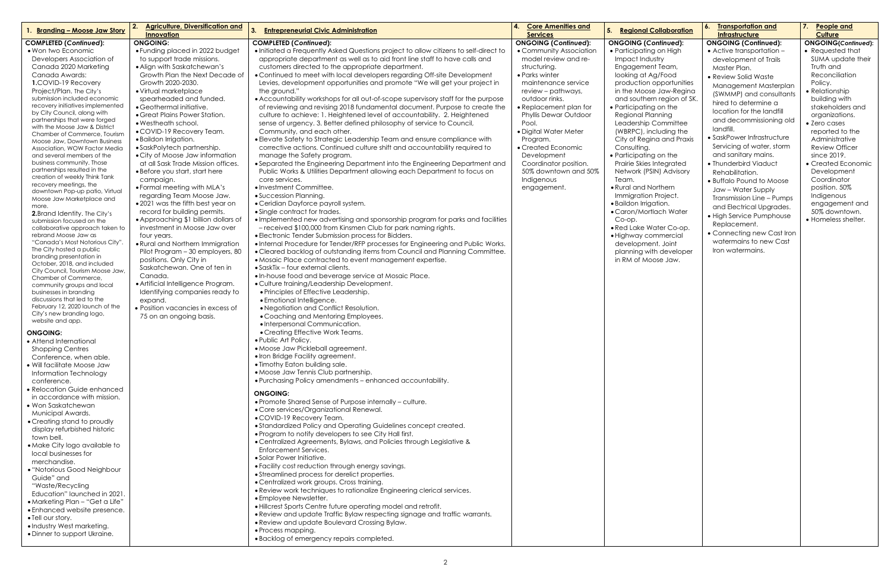| <b>Branding - Moose Jaw Story</b>                                | <b>Agriculture, Diversification and</b><br><b>Innovation</b>         | <b>Entrepreneurial Civic Administration</b><br>3.                                                                                                 | <b>Core Amenities and</b><br><b>Services</b>           | 5.<br><b>Regional Collaboration</b>       | <b>Transportation and</b><br><b>b.</b><br><b>Infrastructure</b> | 7.<br>People and<br><b>Culture</b> |
|------------------------------------------------------------------|----------------------------------------------------------------------|---------------------------------------------------------------------------------------------------------------------------------------------------|--------------------------------------------------------|-------------------------------------------|-----------------------------------------------------------------|------------------------------------|
| <b>COMPLETED (Continued):</b>                                    | <b>ONGOING:</b>                                                      | <b>COMPLETED (Continued):</b>                                                                                                                     | <b>ONGOING (Continued):</b>                            | <b>ONGOING (Continued):</b>               | <b>ONGOING (Continued):</b>                                     | <b>ONGOING(Continued):</b>         |
| • Won two Economic                                               | • Funding placed in 2022 budget                                      | . Initiated a Frequently Asked Questions project to allow citizens to self-direct to                                                              | • Community Association                                | • Participating on High                   | $\bullet$ Active transportation $-$                             | • Requested that                   |
| Developers Association of                                        | to support trade missions.                                           | appropriate department as well as to aid front line staff to have calls and                                                                       | model review and re-                                   | Impact Industry                           | development of Trails                                           | SUMA update their                  |
| Canada 2020 Marketing                                            | • Align with Saskatchewan's                                          | customers directed to the appropriate department.                                                                                                 | structuring.                                           | Engagement Team,                          | Master Plan.                                                    | Truth and                          |
| Canada Awards:                                                   | Growth Plan the Next Decade of                                       | • Continued to meet with local developers regarding Off-site Development                                                                          | • Parks winter                                         | looking at Ag/Food                        | • Review Solid Waste                                            | Reconciliation                     |
| 1.COVID-19 Recovery                                              | Growth 2020-2030.                                                    | Levies, development opportunities and promote "We will get your project in                                                                        | maintenance service                                    | production opportunities                  | Management Masterplan                                           | Policy.                            |
| Project/Plan. The City's                                         | • Virtual marketplace                                                | the ground.'                                                                                                                                      | review – pathways,                                     | in the Moose Jaw-Regina                   | (SWMMP) and consultants                                         | · Relationship                     |
| submission included economic<br>recovery initiatives implemented | spearheaded and funded.                                              | • Accountability workshops for all out-of-scope supervisory staff for the purpose                                                                 | outdoor rinks.                                         | and southern region of SK.                | hired to determine a                                            | building with                      |
| by City Council, along with                                      | · Geothermal initiative.<br>• Great Plains Power Station.            | of reviewing and revising 2018 fundamental document. Purpose to create the                                                                        | • Replacement plan for<br><b>Phyllis Dewar Outdoor</b> | • Participating on the                    | location for the landfill                                       | stakeholders and                   |
| partnerships that were forged                                    | • Westheath school.                                                  | culture to achieve: 1. Heightened level of accountability. 2. Heightened<br>sense of urgency. 3. Better defined philosophy of service to Council, | Pool.                                                  | Regional Planning<br>Leadership Committee | and decommissioning old                                         | organizations.<br>• Zero cases     |
| with the Moose Jaw & District                                    | • COVID-19 Recovery Team.                                            | Community, and each other.                                                                                                                        | · Digital Water Meter                                  | (WBRPC), including the                    | landfill.                                                       | reported to the                    |
| Chamber of Commerce, Tourism                                     | · Baildon Irrigation.                                                | · Elevate Safety to Strategic Leadership Team and ensure compliance with                                                                          | Program.                                               | City of Regina and Praxis                 | • SaskPower Infrastructure                                      | Administrative                     |
| Moose Jaw, Downtown Business<br>Association, WOW Factor Media    | • SaskPolytech partnership.                                          | corrective actions. Continued culture shift and accountability required to                                                                        | • Created Economic                                     | Consulting.                               | Servicing of water, storm                                       | <b>Review Officer</b>              |
| and several members of the                                       | • City of Moose Jaw information                                      | manage the Safety program.                                                                                                                        | Development                                            | • Participating on the                    | and sanitary mains.                                             | since 2019.                        |
| business community. Those                                        | at all Sask Trade Mission offices.                                   | • Separated the Engineering Department into the Engineering Department and                                                                        | Coordinator position.                                  | Prairie Skies Integrated                  | • Thunderbird Viaduct                                           | • Created Economic                 |
| partnerships resulted in the                                     | • Before you start, start here                                       | Public Works & Utilities Department allowing each Department to focus on                                                                          | 50% downtown and 50%                                   | Network (PSIN) Advisory                   | Rehabilitation.                                                 | Development                        |
| creation of weekly Think Tank                                    | campaign.                                                            | core services.                                                                                                                                    | Indigenous                                             | Team.                                     | • Buffalo Pound to Moose                                        | Coordinator                        |
| recovery meetings, the                                           | • Formal meeting with MLA's                                          | • Investment Committee.                                                                                                                           | engagement.                                            | • Rural and Northern                      | Jaw – Water Supply                                              | position. 50%                      |
| downtown Pop-up patio, Virtual<br>Moose Jaw Marketplace and      | regarding Team Moose Jaw.                                            | • Succession Planning.                                                                                                                            |                                                        | <b>Immigration Project.</b>               | Transmission Line - Pumps                                       | Indigenous                         |
| more.                                                            | • 2021 was the fifth best year on                                    | • Ceridian Dayforce payroll system.                                                                                                               |                                                        | · Baildon Irrigation.                     | and Electrical Upgrades.                                        | engagement and                     |
| <b>2.</b> Brand Identity. The City's                             | record for building permits.                                         | • Single contract for trades.                                                                                                                     |                                                        | • Caron/Mortlach Water                    | • High Service Pumphouse                                        | 50% downtown.                      |
| submission focused on the                                        | • Approaching \$1 billion dollars of                                 | . Implemented new advertising and sponsorship program for parks and facilities                                                                    |                                                        | Co-op.                                    | Replacement.                                                    | • Homeless shelter.                |
| collaborative approach taken to                                  | investment in Moose Jaw over                                         | - received \$100,000 from Kinsmen Club for park naming rights.                                                                                    |                                                        | · Red Lake Water Co-op.                   | • Connecting new Cast Iron                                      |                                    |
| rebrand Moose Jaw as                                             | four years.                                                          | • Electronic Tender Submission process for Bidders.                                                                                               |                                                        | · Highway commercial                      |                                                                 |                                    |
| "Canada's Most Notorious City".<br>The City hosted a public      | • Rural and Northern Immigration                                     | . Internal Procedure for Tender/RFP processes for Engineering and Public Works.                                                                   |                                                        | development. Joint                        | watermains to new Cast                                          |                                    |
| branding presentation in                                         | Pilot Program - 30 employers, 80                                     | • Cleared backlog of outstanding items from Council and Planning Committee.                                                                       |                                                        | planning with developer                   | Iron watermains.                                                |                                    |
| October, 2018, and included                                      | positions. Only City in                                              | • Mosaic Place contracted to event management expertise.                                                                                          |                                                        | in RM of Moose Jaw.                       |                                                                 |                                    |
| City Council, Tourism Moose Jaw,                                 | Saskatchewan. One of ten in                                          | • SaskTix - four external clients.                                                                                                                |                                                        |                                           |                                                                 |                                    |
| Chamber of Commerce,                                             | Canada.                                                              | . In-house food and beverage service at Mosaic Place.                                                                                             |                                                        |                                           |                                                                 |                                    |
| community groups and local                                       | • Artificial Intelligence Program.<br>Identifying companies ready to | • Culture training/Leadership Development.<br>• Principles of Effective Leadership.                                                               |                                                        |                                           |                                                                 |                                    |
| businesses in branding<br>discussions that led to the            | expand.                                                              | • Emotional Intelligence.                                                                                                                         |                                                        |                                           |                                                                 |                                    |
| February 12, 2020 launch of the                                  | · Position vacancies in excess of                                    | • Negotiation and Conflict Resolution.                                                                                                            |                                                        |                                           |                                                                 |                                    |
| City's new branding logo,                                        | 75 on an ongoing basis.                                              | • Coaching and Mentoring Employees.                                                                                                               |                                                        |                                           |                                                                 |                                    |
| website and app.                                                 |                                                                      | · Interpersonal Communication.                                                                                                                    |                                                        |                                           |                                                                 |                                    |
| <b>ONGOING:</b>                                                  |                                                                      | • Creating Effective Work Teams.                                                                                                                  |                                                        |                                           |                                                                 |                                    |
| • Attend International                                           |                                                                      | • Public Art Policy.                                                                                                                              |                                                        |                                           |                                                                 |                                    |
| <b>Shopping Centres</b>                                          |                                                                      | • Moose Jaw Pickleball agreement.                                                                                                                 |                                                        |                                           |                                                                 |                                    |
| Conference, when able.                                           |                                                                      | . Iron Bridge Facility agreement.                                                                                                                 |                                                        |                                           |                                                                 |                                    |
| • Will facilitate Moose Jaw                                      |                                                                      | . Timothy Eaton building sale.                                                                                                                    |                                                        |                                           |                                                                 |                                    |
| Information Technology                                           |                                                                      | • Moose Jaw Tennis Club partnership.                                                                                                              |                                                        |                                           |                                                                 |                                    |
| conference.                                                      |                                                                      | . Purchasing Policy amendments - enhanced accountability.                                                                                         |                                                        |                                           |                                                                 |                                    |
| • Relocation Guide enhanced                                      |                                                                      | <b>ONGOING:</b>                                                                                                                                   |                                                        |                                           |                                                                 |                                    |
| in accordance with mission.                                      |                                                                      | • Promote Shared Sense of Purpose internally - culture.                                                                                           |                                                        |                                           |                                                                 |                                    |
| • Won Saskatchewan                                               |                                                                      | • Core services/Organizational Renewal.                                                                                                           |                                                        |                                           |                                                                 |                                    |
| Municipal Awards.                                                |                                                                      | • COVID-19 Recovery Team.                                                                                                                         |                                                        |                                           |                                                                 |                                    |
| • Creating stand to proudly                                      |                                                                      | • Standardized Policy and Operating Guidelines concept created.                                                                                   |                                                        |                                           |                                                                 |                                    |
| display refurbished historic                                     |                                                                      | • Program to notify developers to see City Hall first.                                                                                            |                                                        |                                           |                                                                 |                                    |
| town bell.<br>• Make City logo available to                      |                                                                      | • Centralized Agreements, Bylaws, and Policies through Legislative &                                                                              |                                                        |                                           |                                                                 |                                    |
| local businesses for                                             |                                                                      | <b>Enforcement Services.</b>                                                                                                                      |                                                        |                                           |                                                                 |                                    |
| merchandise.                                                     |                                                                      | • Solar Power Initiative.                                                                                                                         |                                                        |                                           |                                                                 |                                    |
| • "Notorious Good Neighbour                                      |                                                                      | • Facility cost reduction through energy savings.                                                                                                 |                                                        |                                           |                                                                 |                                    |
| Guide" and                                                       |                                                                      | • Streamlined process for derelict properties.                                                                                                    |                                                        |                                           |                                                                 |                                    |
| "Waste/Recycling                                                 |                                                                      | • Centralized work groups. Cross training.                                                                                                        |                                                        |                                           |                                                                 |                                    |
| Education" launched in 2021.                                     |                                                                      | . Review work techniques to rationalize Engineering clerical services.                                                                            |                                                        |                                           |                                                                 |                                    |
| • Marketing Plan - "Get a Life"                                  |                                                                      | • Employee Newsletter.                                                                                                                            |                                                        |                                           |                                                                 |                                    |
| • Enhanced website presence.                                     |                                                                      | . Hillcrest Sports Centre future operating model and retrofit.                                                                                    |                                                        |                                           |                                                                 |                                    |
| • Tell our story.                                                |                                                                      | • Review and update Traffic Bylaw respecting signage and traffic warrants.<br>• Review and update Boulevard Crossing Bylaw.                       |                                                        |                                           |                                                                 |                                    |
| • Industry West marketing.                                       |                                                                      | • Process mapping.                                                                                                                                |                                                        |                                           |                                                                 |                                    |
| • Dinner to support Ukraine.                                     |                                                                      | · Backlog of emergency repairs completed.                                                                                                         |                                                        |                                           |                                                                 |                                    |
|                                                                  |                                                                      |                                                                                                                                                   |                                                        |                                           |                                                                 |                                    |